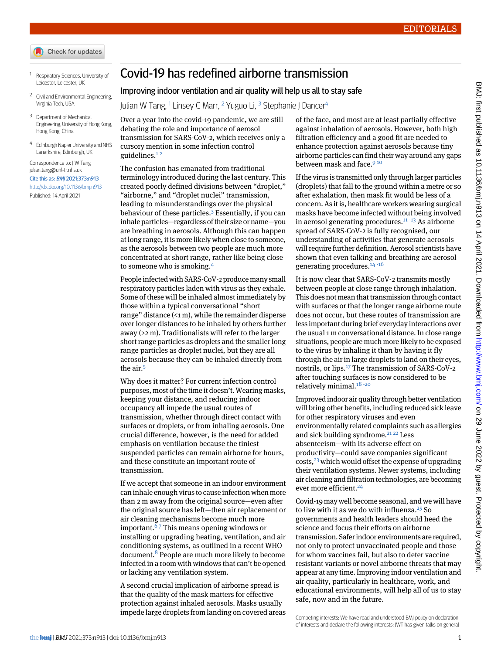- Check for updates
- <span id="page-0-1"></span><span id="page-0-0"></span><sup>1</sup> Respiratory Sciences, University of Leicester, Leicester, UK
- <span id="page-0-2"></span>Civil and Environmental Engineering, Virginia Tech, USA
- <span id="page-0-3"></span><sup>3</sup> Department of Mechanical Engineering, University of Hong Kong, Hong Kong, China
- 4 Edinburgh Napier University and NHS Lanarkshire, Edinburgh, UK

## Correspondence to: J W Tang [julian.tang@uhl-tr.nhs.uk](mailto:julian.tang@uhl-tr.nhs.uk) Cite this as: BMJ 2021;373:n913 <http://dx.doi.org/10.1136/bmj.n913>

Published: 14 April 2021

## Covid-19 has redefined airborne transmission

## Improving indoor ventilation and air quality will help us all to stay safe

Julian W Tang, <sup>[1](#page-0-0)</sup> Linsey C Marr, <sup>[2](#page-0-1)</sup> Yuguo Li, <sup>[3](#page-0-2)</sup> Stephanie J Dancer<sup>[4](#page-0-3)</sup>

Over a year into the covid-19 pandemic, we are still debating the role and importance of aerosol transmission for SARS-CoV-2, which receives only a cursory mention in some infection control guidelines.<sup>[1](#page-1-0)2</sup>

The confusion has emanated from traditional terminology introduced during the last century. This created poorly defined divisions between "droplet," "airborne," and "droplet nuclei" transmission, leading to misunderstandings over the physical behaviour of these particles.[3](#page-1-2) Essentially, if you can inhale particles—regardless of their size or name—you are breathing in aerosols. Although this can happen at long range, it is more likely when close to someone, as the aerosols between two people are much more concentrated at short range, rather like being close to someone who is smoking.[4](#page-1-3)

People infected with SARS-CoV-2 produce many small respiratory particles laden with virus as they exhale. Some of these will be inhaled almost immediately by those within a typical conversational "short range" distance  $($  < 1 m), while the remainder disperse over longer distances to be inhaled by others further away (>2 m). Traditionalists will refer to the larger short range particles as droplets and the smaller long range particles as droplet nuclei, but they are all aerosols because they can be inhaled directly from the air.[5](#page-1-4)

Why does it matter? For current infection control purposes, most of the time it doesn't. Wearing masks, keeping your distance, and reducing indoor occupancy all impede the usual routes of transmission, whether through direct contact with surfaces or droplets, or from inhaling aerosols. One crucial difference, however, is the need for added emphasis on ventilation because the tiniest suspended particles can remain airborne for hours, and these constitute an important route of transmission.

If we accept that someone in an indoor environment can inhale enough virus to cause infection when more than 2 m away from the original source—even after the original source has left—then air replacement or air cleaning mechanisms become much more important.  $67$  $67$  This means opening windows or installing or upgrading heating, ventilation, and air conditioning systems, as outlined in a recent WHO document.[8](#page-1-7) People are much more likely to become infected in a room with windows that can't be opened or lacking any ventilation system.

A second crucial implication of airborne spread is that the quality of the mask matters for effective protection against inhaled aerosols. Masks usually impede large droplets from landing on covered areas of the face, and most are at least partially effective against inhalation of aerosols. However, both high filtration efficiency and a good fit are needed to enhance protection against aerosols because tiny airborne particles can find their way around any gaps between mask and face.<sup>[9](#page-1-8)10</sup>

If the virus is transmitted only through larger particles (droplets) that fall to the ground within a metre or so after exhalation, then mask fit would be less of a concern. As it is, healthcare workers wearing surgical masks have become infected without being involved in aerosol generating procedures.<sup>[11](#page-1-10) [-](#page-1-11)[13](#page-1-12)</sup> As airborne spread of SARS-CoV-2 is fully recognised, our understanding of activities that generate aerosols will require further definition. Aerosol scientists have shown that even talking and breathing are aerosol generating procedures. $14-16$  $14-16$  $14-16$ 

It is now clear that SARS-CoV-2 transmits mostly between people at close range through inhalation. This does not mean that transmission through contact with surfaces or that the longer range airborne route does not occur, but these routes of transmission are less important during brief everyday interactions over the usual 1 m conversational distance. In close range situations, people are much more likely to be exposed to the virus by inhaling it than by having it fly through the air in large droplets to land on their eyes, nostrils, or lips.[17](#page-1-16) The transmission of SARS-CoV-2 after touching surfaces is now considered to be relatively minimal.<sup>[18](#page-1-17)-[20](#page-1-19)</sup>

Improved indoor air quality through better ventilation will bring other benefits, including reduced sick leave for other respiratory viruses and even environmentally related complaints such as allergies and sick building syndrome.<sup>[21](#page-1-20)</sup><sup>22</sup> Less absenteeism—with its adverse effect on productivity—could save companies significant  $costs<sub>1</sub><sup>23</sup>$  $costs<sub>1</sub><sup>23</sup>$  $costs<sub>1</sub><sup>23</sup>$  which would offset the expense of upgrading their ventilation systems. Newer systems, including air cleaning and filtration technologies, are becoming ever more efficient.<sup>[24](#page-1-23)</sup>

Covid-19 may well become seasonal, and we will have to live with it as we do with influenza. $25$  So governments and health leaders should heed the science and focus their efforts on airborne transmission. Saferindoor environments are required, not only to protect unvaccinated people and those for whom vaccines fail, but also to deter vaccine resistant variants or novel airborne threats that may appear at any time. Improving indoor ventilation and air quality, particularly in healthcare, work, and educational environments, will help all of us to stay safe, now and in the future.

Competing interests: We have read and understood BMJ policy on declaration of interests and declare the following interests: JWT has given talks on general